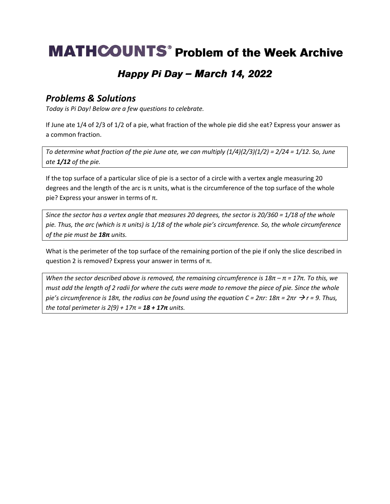## **MATHCOUNTS<sup>®</sup> Problem of the Week Archive**

### Happy Pi Day - March 14, 2022

#### *Problems & Solutions*

*Today is Pi Day! Below are a few questions to celebrate.*

If June ate 1/4 of 2/3 of 1/2 of a pie, what fraction of the whole pie did she eat? Express your answer as a common fraction.

*To determine what fraction of the pie June ate, we can multiply (1/4)(2/3)(1/2) = 2/24 = 1/12. So, June ate 1/12 of the pie.* 

If the top surface of a particular slice of pie is a sector of a circle with a vertex angle measuring 20 degrees and the length of the arc is π units, what is the circumference of the top surface of the whole pie? Express your answer in terms of π.

*Since the sector has a vertex angle that measures 20 degrees, the sector is 20/360 = 1/18 of the whole pie. Thus, the arc (which is π units) is 1/18 of the whole pie's circumference. So, the whole circumference of the pie must be 18π units.*

What is the perimeter of the top surface of the remaining portion of the pie if only the slice described in question 2 is removed? Express your answer in terms of π.

*When the sector described above is removed, the remaining circumference is 18π – π = 17π. To this, we must add the length of 2 radii for where the cuts were made to remove the piece of pie. Since the whole pie's circumference is 18π, the radius can be found using the equation C = 2πr: 18π = 2πr* → *r = 9. Thus, the total perimeter is*  $2(9) + 17\pi = 18 + 17\pi$  *units.*